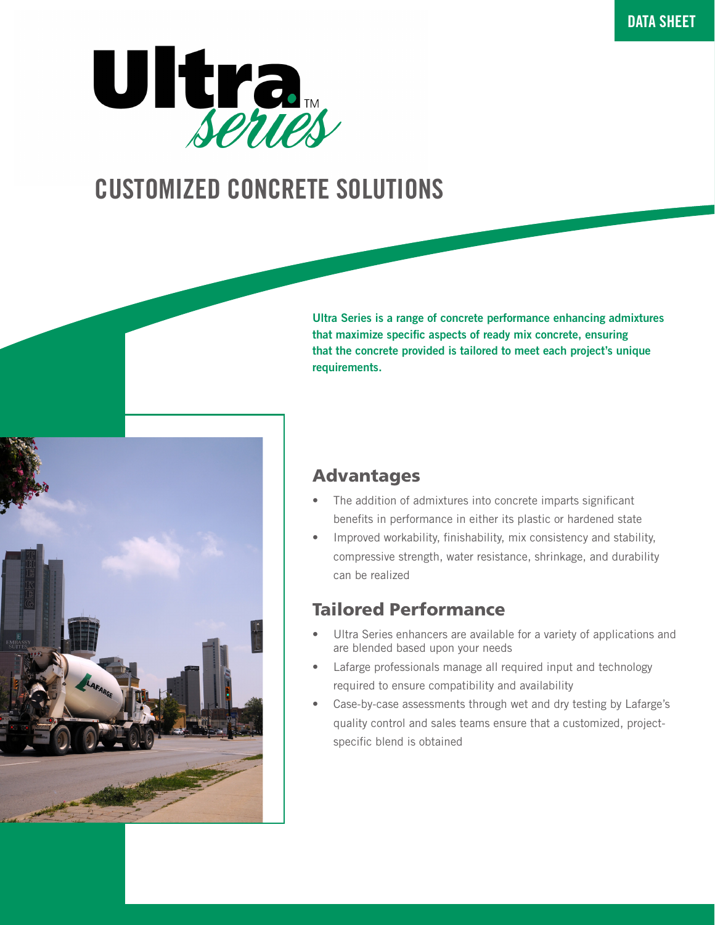

# CUSTOMIZED CONCRETE SOLUTIONS



Ultra Series is a range of concrete performance enhancing admixtures that maximize specific aspects of ready mix concrete, ensuring that the concrete provided is tailored to meet each project's unique requirements.

# Advantages

- The addition of admixtures into concrete imparts significant benefits in performance in either its plastic or hardened state
- Improved workability, finishability, mix consistency and stability, compressive strength, water resistance, shrinkage, and durability can be realized

# Tailored Performance

- Ultra Series enhancers are available for a variety of applications and are blended based upon your needs
- Lafarge professionals manage all required input and technology required to ensure compatibility and availability
- Case-by-case assessments through wet and dry testing by Lafarge's quality control and sales teams ensure that a customized, projectspecific blend is obtained